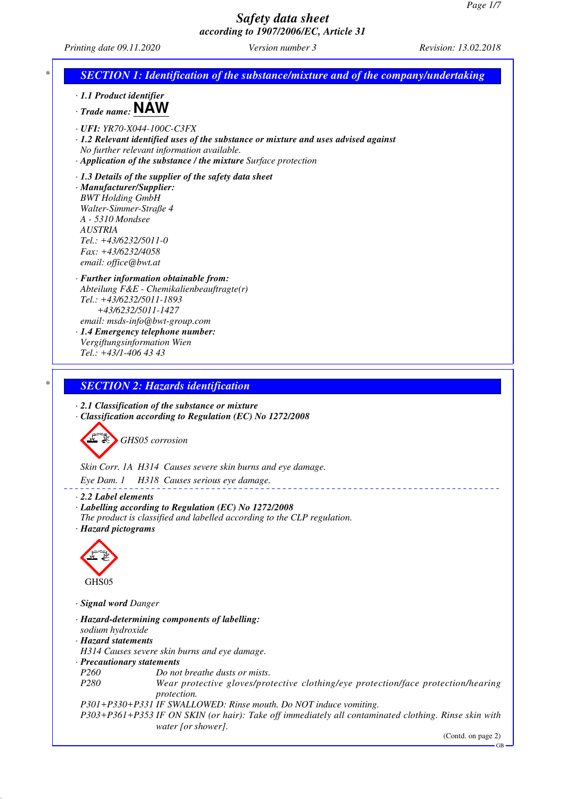*Printing date 09.11.2020 Version number 3 Revision: 13.02.2018*

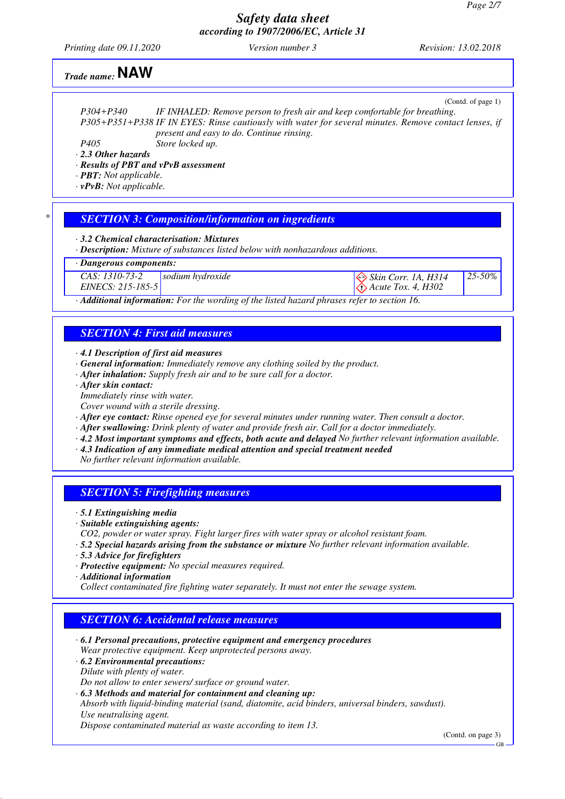*25-50%*

### *Safety data sheet according to 1907/2006/EC, Article 31*

*Printing date 09.11.2020 Version number 3 Revision: 13.02.2018*

 *Acute Tox. 4, H302*

# *Trade name:* **NAW**

|                                      | (Contd. of page 1)                                                                                    |  |  |
|--------------------------------------|-------------------------------------------------------------------------------------------------------|--|--|
| $P304 + P340$                        | IF INHALED: Remove person to fresh air and keep comfortable for breathing.                            |  |  |
|                                      | P305+P351+P338 IF IN EYES: Rinse cautiously with water for several minutes. Remove contact lenses, if |  |  |
|                                      | present and easy to do. Continue rinsing.                                                             |  |  |
| <i>P405</i>                          | Store locked up.                                                                                      |  |  |
| $\cdot$ 2.3 Other hazards            |                                                                                                       |  |  |
| · Results of PBT and vPvB assessment |                                                                                                       |  |  |
|                                      |                                                                                                       |  |  |

*· PBT: Not applicable.*

*· vPvB: Not applicable.*

### *\* SECTION 3: Composition/information on ingredients*

*· 3.2 Chemical characterisation: Mixtures*

*· Description: Mixture of substances listed below with nonhazardous additions.*

*· Dangerous components:*

*CAS: 1310-73-2* **sodium hydroxide** Skin Corr. 1A, H314

*EINECS: 215-185-5*

*· Additional information: For the wording of the listed hazard phrases refer to section 16.*

### *SECTION 4: First aid measures*

- *· 4.1 Description of first aid measures*
- *· General information: Immediately remove any clothing soiled by the product.*
- *· After inhalation: Supply fresh air and to be sure call for a doctor.*
- *· After skin contact:*
- *Immediately rinse with water.*
- *Cover wound with a sterile dressing.*
- *· After eye contact: Rinse opened eye for several minutes under running water. Then consult a doctor.*
- *· After swallowing: Drink plenty of water and provide fresh air. Call for a doctor immediately.*
- *· 4.2 Most important symptoms and effects, both acute and delayed No further relevant information available.*
- *· 4.3 Indication of any immediate medical attention and special treatment needed*

*No further relevant information available.*

### *SECTION 5: Firefighting measures*

- *· 5.1 Extinguishing media*
- *· Suitable extinguishing agents:*
- *CO2, powder or water spray. Fight larger fires with water spray or alcohol resistant foam.*
- *· 5.2 Special hazards arising from the substance or mixture No further relevant information available.*
- *· 5.3 Advice for firefighters*
- *· Protective equipment: No special measures required.*
- *· Additional information*

*Collect contaminated fire fighting water separately. It must not enter the sewage system.*

### *SECTION 6: Accidental release measures*

- *· 6.1 Personal precautions, protective equipment and emergency procedures Wear protective equipment. Keep unprotected persons away.*
- *· 6.2 Environmental precautions:*
- *Dilute with plenty of water.*
- *Do not allow to enter sewers/ surface or ground water.*
- *· 6.3 Methods and material for containment and cleaning up:*
- *Absorb with liquid-binding material (sand, diatomite, acid binders, universal binders, sawdust). Use neutralising agent.*

*Dispose contaminated material as waste according to item 13.*

(Contd. on page 3)

GB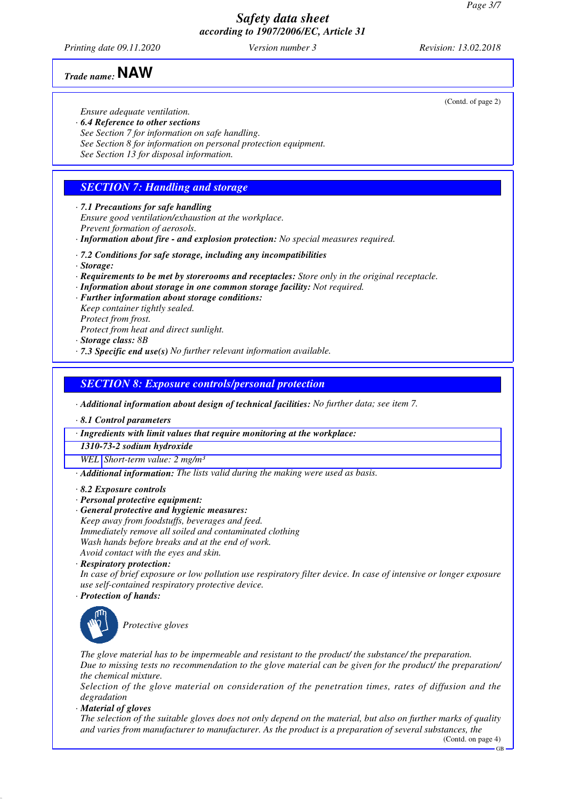*Printing date 09.11.2020 Version number 3 Revision: 13.02.2018*

*Trade name:* **NAW**

*Ensure adequate ventilation.*

- *· 6.4 Reference to other sections*
- *See Section 7 for information on safe handling.*
- *See Section 8 for information on personal protection equipment.*
- *See Section 13 for disposal information.*

### *SECTION 7: Handling and storage*

*· 7.1 Precautions for safe handling*

*Ensure good ventilation/exhaustion at the workplace. Prevent formation of aerosols.*

- *· Information about fire and explosion protection: No special measures required.*
- *· 7.2 Conditions for safe storage, including any incompatibilities*
- *· Storage:*
- *· Requirements to be met by storerooms and receptacles: Store only in the original receptacle.*
- *· Information about storage in one common storage facility: Not required.*
- *· Further information about storage conditions:*
- *Keep container tightly sealed. Protect from frost.*
- *Protect from heat and direct sunlight.*
- *· Storage class: 8B*
- *· 7.3 Specific end use(s) No further relevant information available.*

### *SECTION 8: Exposure controls/personal protection*

*· Additional information about design of technical facilities: No further data; see item 7.*

*· 8.1 Control parameters*

*· Ingredients with limit values that require monitoring at the workplace:*

*1310-73-2 sodium hydroxide*

*WEL Short-term value: 2 mg/m³*

*· Additional information: The lists valid during the making were used as basis.*

#### *· 8.2 Exposure controls*

- *· Personal protective equipment:*
- *· General protective and hygienic measures:*
- *Keep away from foodstuffs, beverages and feed. Immediately remove all soiled and contaminated clothing*
- *Wash hands before breaks and at the end of work.*
- *Avoid contact with the eyes and skin. · Respiratory protection:*

*In case of brief exposure or low pollution use respiratory filter device. In case of intensive or longer exposure use self-contained respiratory protective device.*

*· Protection of hands:*



*Protective gloves*

*The glove material has to be impermeable and resistant to the product/ the substance/ the preparation. Due to missing tests no recommendation to the glove material can be given for the product/ the preparation/ the chemical mixture.*

*Selection of the glove material on consideration of the penetration times, rates of diffusion and the degradation*

*· Material of gloves*

*The selection of the suitable gloves does not only depend on the material, but also on further marks of quality and varies from manufacturer to manufacturer. As the product is a preparation of several substances, the*

GB

(Contd. of page 2)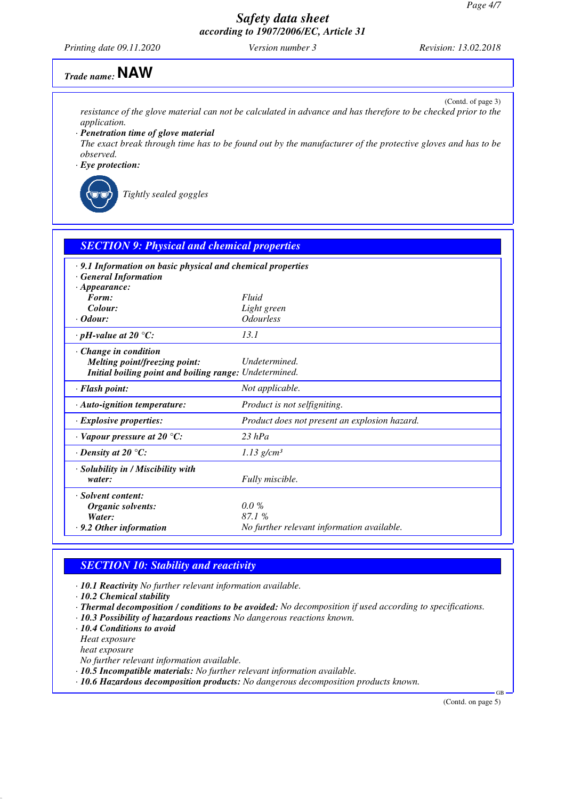*Printing date 09.11.2020 Version number 3 Revision: 13.02.2018*

# *Trade name:* **NAW**

(Contd. of page 3) *resistance of the glove material can not be calculated in advance and has therefore to be checked prior to the application.*

*· Penetration time of glove material*

*The exact break through time has to be found out by the manufacturer of the protective gloves and has to be observed.*

*· Eye protection:*



*Tightly sealed goggles*

| <b>SECTION 9: Physical and chemical properties</b>                                                                     |                                                                 |  |
|------------------------------------------------------------------------------------------------------------------------|-----------------------------------------------------------------|--|
| $\cdot$ 9.1 Information on basic physical and chemical properties<br><b>General Information</b><br>$\cdot$ Appearance: |                                                                 |  |
| Form:                                                                                                                  | Fluid                                                           |  |
| Colour:                                                                                                                | Light green                                                     |  |
| $\cdot$ Odour:                                                                                                         | <i><b>Odourless</b></i>                                         |  |
| $\cdot$ pH-value at 20 $\degree$ C:                                                                                    | 13.1                                                            |  |
| $\cdot$ Change in condition<br>Melting point/freezing point:<br>Initial boiling point and boiling range: Undetermined. | Undetermined.                                                   |  |
| · Flash point:                                                                                                         | Not applicable.                                                 |  |
| · Auto-ignition temperature:                                                                                           | Product is not selfigniting.                                    |  |
| $\cdot$ Explosive properties:                                                                                          | Product does not present an explosion hazard.                   |  |
| $\cdot$ Vapour pressure at 20 °C:                                                                                      | $23$ hPa                                                        |  |
| $\cdot$ Density at 20 $\degree$ C:                                                                                     | $1.13$ g/cm <sup>3</sup>                                        |  |
| · Solubility in / Miscibility with<br>water:                                                                           | Fully miscible.                                                 |  |
| · Solvent content:<br>Organic solvents:<br>Water:<br>$\cdot$ 9.2 Other information                                     | $0.0\%$<br>87.1 %<br>No further relevant information available. |  |

### *SECTION 10: Stability and reactivity*

*· 10.1 Reactivity No further relevant information available.*

*· 10.2 Chemical stability*

- *· Thermal decomposition / conditions to be avoided: No decomposition if used according to specifications.*
- *· 10.3 Possibility of hazardous reactions No dangerous reactions known.*

*· 10.4 Conditions to avoid*

*Heat exposure*

*heat exposure*

*No further relevant information available.*

*· 10.5 Incompatible materials: No further relevant information available.*

*· 10.6 Hazardous decomposition products: No dangerous decomposition products known.*

(Contd. on page 5)

GB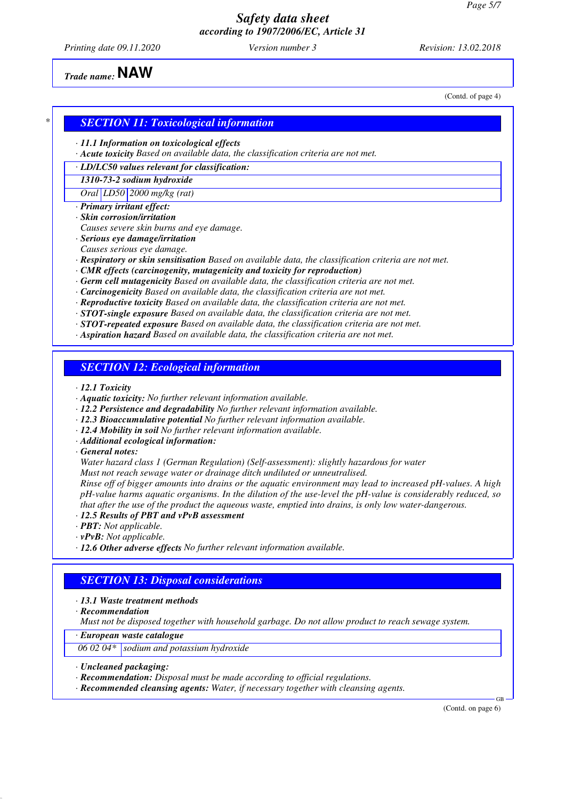*Printing date 09.11.2020 Version number 3 Revision: 13.02.2018*

(Contd. of page 4)

*Trade name:* **NAW**

### *\* SECTION 11: Toxicological information*

- *· 11.1 Information on toxicological effects*
- *· Acute toxicity Based on available data, the classification criteria are not met.*
- *· LD/LC50 values relevant for classification:*
- *1310-73-2 sodium hydroxide*
- *Oral LD50 2000 mg/kg (rat)*
- *· Primary irritant effect:*
- *· Skin corrosion/irritation*
- *Causes severe skin burns and eye damage.*
- *· Serious eye damage/irritation Causes serious eye damage.*
- *· Respiratory or skin sensitisation Based on available data, the classification criteria are not met.*
- *· CMR effects (carcinogenity, mutagenicity and toxicity for reproduction)*
- *· Germ cell mutagenicity Based on available data, the classification criteria are not met.*
- *· Carcinogenicity Based on available data, the classification criteria are not met.*
- *· Reproductive toxicity Based on available data, the classification criteria are not met.*
- *· STOT-single exposure Based on available data, the classification criteria are not met.*
- *· STOT-repeated exposure Based on available data, the classification criteria are not met.*
- *· Aspiration hazard Based on available data, the classification criteria are not met.*

### *SECTION 12: Ecological information*

- *· 12.1 Toxicity*
- *· Aquatic toxicity: No further relevant information available.*
- *· 12.2 Persistence and degradability No further relevant information available.*
- *· 12.3 Bioaccumulative potential No further relevant information available.*
- *· 12.4 Mobility in soil No further relevant information available.*
- *· Additional ecological information:*
- *· General notes:*
- *Water hazard class 1 (German Regulation) (Self-assessment): slightly hazardous for water*
- *Must not reach sewage water or drainage ditch undiluted or unneutralised.*

*Rinse off of bigger amounts into drains or the aquatic environment may lead to increased pH-values. A high pH-value harms aquatic organisms. In the dilution of the use-level the pH-value is considerably reduced, so that after the use of the product the aqueous waste, emptied into drains, is only low water-dangerous.*

- *· 12.5 Results of PBT and vPvB assessment*
- *· PBT: Not applicable.*
- *· vPvB: Not applicable.*
- *· 12.6 Other adverse effects No further relevant information available.*

### *SECTION 13: Disposal considerations*

#### *· 13.1 Waste treatment methods*

*· Recommendation*

*Must not be disposed together with household garbage. Do not allow product to reach sewage system.*

*· European waste catalogue*

*06 02 04\* sodium and potassium hydroxide*

- *· Uncleaned packaging:*
- *· Recommendation: Disposal must be made according to official regulations.*
- *· Recommended cleansing agents: Water, if necessary together with cleansing agents.*

(Contd. on page 6)

GB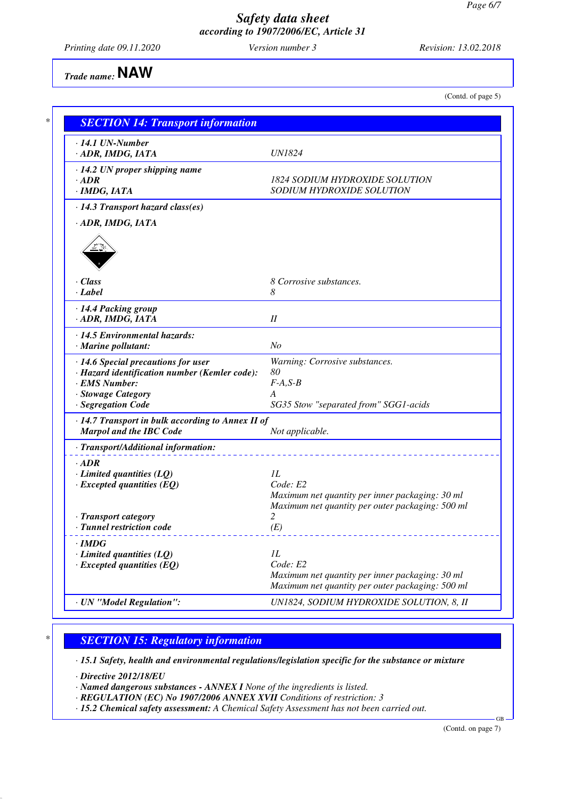*Printing date 09.11.2020 Version number 3 Revision: 13.02.2018*

*Trade name:* **NAW**

(Contd. of page 5)

| $\cdot$ 14.1 UN-Number                                  |                                                  |  |  |
|---------------------------------------------------------|--------------------------------------------------|--|--|
| · ADR, IMDG, IATA                                       | UN1824                                           |  |  |
| $\cdot$ 14.2 UN proper shipping name                    |                                                  |  |  |
| $\cdot$ ADR                                             | <b>1824 SODIUM HYDROXIDE SOLUTION</b>            |  |  |
| · IMDG, IATA                                            | SODIUM HYDROXIDE SOLUTION                        |  |  |
| $\cdot$ 14.3 Transport hazard class(es)                 |                                                  |  |  |
| · ADR, IMDG, IATA                                       |                                                  |  |  |
|                                                         |                                                  |  |  |
|                                                         |                                                  |  |  |
|                                                         |                                                  |  |  |
|                                                         |                                                  |  |  |
| $\cdot$ Class                                           | 8 Corrosive substances.                          |  |  |
| · Label                                                 | 8                                                |  |  |
| · 14.4 Packing group                                    |                                                  |  |  |
| · ADR, IMDG, IATA                                       | I                                                |  |  |
| $\cdot$ 14.5 Environmental hazards:                     |                                                  |  |  |
| $\cdot$ Marine pollutant:                               | N <sub>O</sub>                                   |  |  |
| · 14.6 Special precautions for user                     | Warning: Corrosive substances.                   |  |  |
| · Hazard identification number (Kemler code):           | 80                                               |  |  |
| · EMS Number:                                           | $F-A, S-B$                                       |  |  |
| · Stowage Category                                      | A                                                |  |  |
| · Segregation Code                                      | SG35 Stow "separated from" SGG1-acids            |  |  |
| $\cdot$ 14.7 Transport in bulk according to Annex II of |                                                  |  |  |
| <b>Marpol and the IBC Code</b>                          | Not applicable.                                  |  |  |
| · Transport/Additional information:                     |                                                  |  |  |
| $\cdot$ ADR                                             |                                                  |  |  |
| $\cdot$ Limited quantities (LQ)                         | IL                                               |  |  |
| $\cdot$ Excepted quantities (EQ)                        | Code: E2                                         |  |  |
|                                                         | Maximum net quantity per inner packaging: 30 ml  |  |  |
|                                                         | Maximum net quantity per outer packaging: 500 ml |  |  |
| · Transport category                                    |                                                  |  |  |
| · Tunnel restriction code                               | (E)                                              |  |  |
| $\cdot$ IMDG                                            |                                                  |  |  |
| $\cdot$ Limited quantities (LQ)                         | IL                                               |  |  |
| $\cdot$ Excepted quantities (EQ)                        | Code: E2                                         |  |  |
|                                                         | Maximum net quantity per inner packaging: 30 ml  |  |  |
|                                                         | Maximum net quantity per outer packaging: 500 ml |  |  |
|                                                         |                                                  |  |  |

### *\* SECTION 15: Regulatory information*

*· 15.1 Safety, health and environmental regulations/legislation specific for the substance or mixture*

*· Directive 2012/18/EU*

*· Named dangerous substances - ANNEX I None of the ingredients is listed.*

*· REGULATION (EC) No 1907/2006 ANNEX XVII Conditions of restriction: 3*

*· 15.2 Chemical safety assessment: A Chemical Safety Assessment has not been carried out.*

(Contd. on page 7)

GB